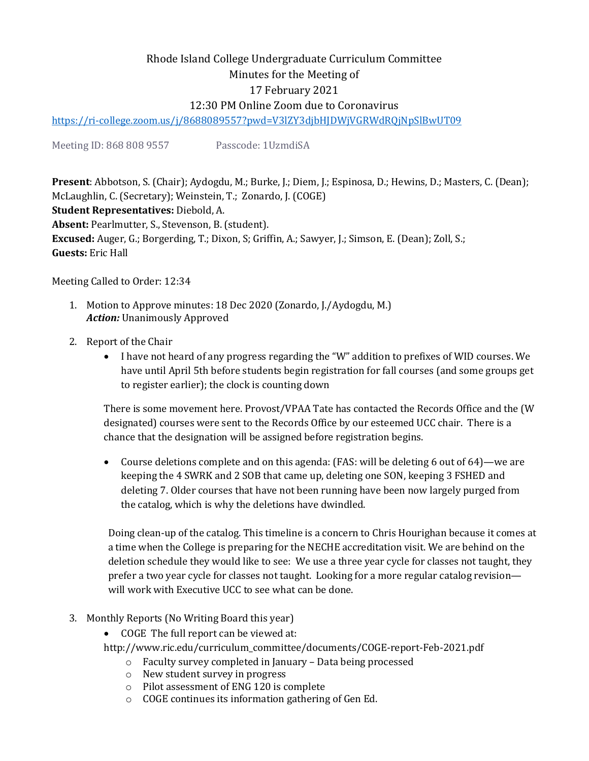# Rhode Island College Undergraduate Curriculum Committee Minutes for the Meeting of 17 February 2021 12:30 PM Online Zoom due to Coronavirus

<https://ri-college.zoom.us/j/8688089557?pwd=V3lZY3djbHJDWjVGRWdRQjNpSlBwUT09>

Meeting ID: 868 808 9557 Passcode: 1UzmdiSA

**Present**: Abbotson, S. (Chair); Aydogdu, M.; Burke, J.; Diem, J.; Espinosa, D.; Hewins, D.; Masters, C. (Dean); McLaughlin, C. (Secretary); Weinstein, T.; Zonardo, J. (COGE) **Student Representatives:** Diebold, A. **Absent:** Pearlmutter, S., Stevenson, B. (student). **Excused:** Auger, G.; Borgerding, T.; Dixon, S; Griffin, A.; Sawyer, J.; Simson, E. (Dean); Zoll, S.; **Guests:** Eric Hall

Meeting Called to Order: 12:34

- 1. Motion to Approve minutes: 18 Dec 2020 (Zonardo, J./Aydogdu, M.) *Action:* Unanimously Approved
- 2. Report of the Chair
	- I have not heard of any progress regarding the "W" addition to prefixes of WID courses. We have until April 5th before students begin registration for fall courses (and some groups get to register earlier); the clock is counting down

There is some movement here. Provost/VPAA Tate has contacted the Records Office and the (W designated) courses were sent to the Records Office by our esteemed UCC chair. There is a chance that the designation will be assigned before registration begins.

• Course deletions complete and on this agenda: (FAS: will be deleting 6 out of 64)—we are keeping the 4 SWRK and 2 SOB that came up, deleting one SON, keeping 3 FSHED and deleting 7. Older courses that have not been running have been now largely purged from the catalog, which is why the deletions have dwindled.

Doing clean-up of the catalog. This timeline is a concern to Chris Hourighan because it comes at a time when the College is preparing for the NECHE accreditation visit. We are behind on the deletion schedule they would like to see: We use a three year cycle for classes not taught, they prefer a two year cycle for classes not taught. Looking for a more regular catalog revision will work with Executive UCC to see what can be done.

- 3. Monthly Reports (No Writing Board this year)
	- COGE The full report can be viewed at:
	- http://www.ric.edu/curriculum\_committee/documents/COGE-report-Feb-2021.pdf
		- o Faculty survey completed in January Data being processed
		- o New student survey in progress
		- o Pilot assessment of ENG 120 is complete
		- o COGE continues its information gathering of Gen Ed.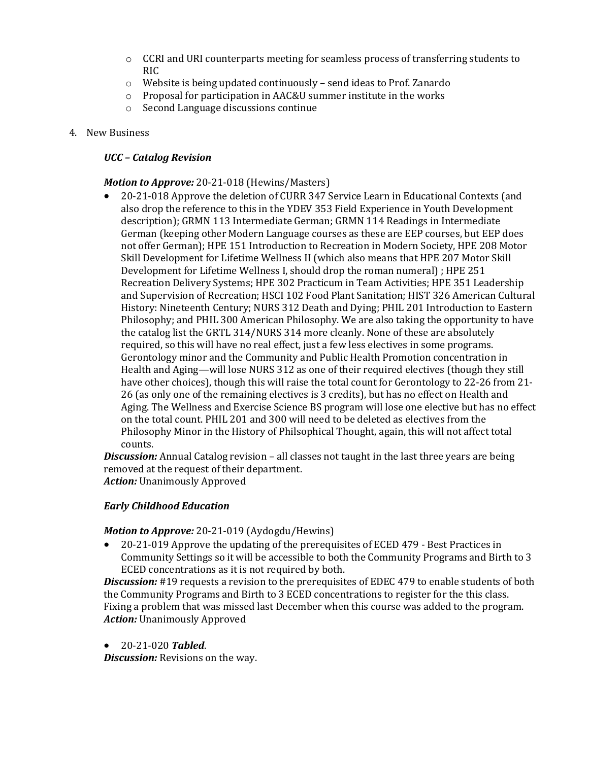- o CCRI and URI counterparts meeting for seamless process of transferring students to RIC
- o Website is being updated continuously send ideas to Prof. Zanardo
- o Proposal for participation in AAC&U summer institute in the works
- Second Language discussions continue
- 4. New Business

## *UCC – Catalog Revision*

### *Motion to Approve:* 20-21-018 (Hewins/Masters)

• 20-21-018 Approve the deletion of CURR 347 Service Learn in Educational Contexts (and also drop the reference to this in the YDEV 353 Field Experience in Youth Development description); GRMN 113 Intermediate German; GRMN 114 Readings in Intermediate German (keeping other Modern Language courses as these are EEP courses, but EEP does not offer German); HPE 151 Introduction to Recreation in Modern Society, HPE 208 Motor Skill Development for Lifetime Wellness II (which also means that HPE 207 Motor Skill Development for Lifetime Wellness I, should drop the roman numeral) ; HPE 251 Recreation Delivery Systems; HPE 302 Practicum in Team Activities; HPE 351 Leadership and Supervision of Recreation; HSCI 102 Food Plant Sanitation; HIST 326 American Cultural History: Nineteenth Century; NURS 312 Death and Dying; PHIL 201 Introduction to Eastern Philosophy; and PHIL 300 American Philosophy. We are also taking the opportunity to have the catalog list the GRTL 314/NURS 314 more cleanly. None of these are absolutely required, so this will have no real effect, just a few less electives in some programs. Gerontology minor and the Community and Public Health Promotion concentration in Health and Aging—will lose NURS 312 as one of their required electives (though they still have other choices), though this will raise the total count for Gerontology to 22-26 from 21-26 (as only one of the remaining electives is 3 credits), but has no effect on Health and Aging. The Wellness and Exercise Science BS program will lose one elective but has no effect on the total count. PHIL 201 and 300 will need to be deleted as electives from the Philosophy Minor in the History of Philsophical Thought, again, this will not affect total counts.

*Discussion:* Annual Catalog revision – all classes not taught in the last three years are being removed at the request of their department. *Action:* Unanimously Approved

#### *Early Childhood Education*

#### *Motion to Approve:* 20-21-019 (Aydogdu/Hewins)

• 20-21-019 Approve the updating of the prerequisites of ECED 479 - Best Practices in Community Settings so it will be accessible to both the Community Programs and Birth to 3 ECED concentrations as it is not required by both.

**Discussion:** #19 requests a revision to the prerequisites of EDEC 479 to enable students of both the Community Programs and Birth to 3 ECED concentrations to register for the this class. Fixing a problem that was missed last December when this course was added to the program. *Action:* Unanimously Approved

• 20-21-020 *Tabled*.

*Discussion:* Revisions on the way.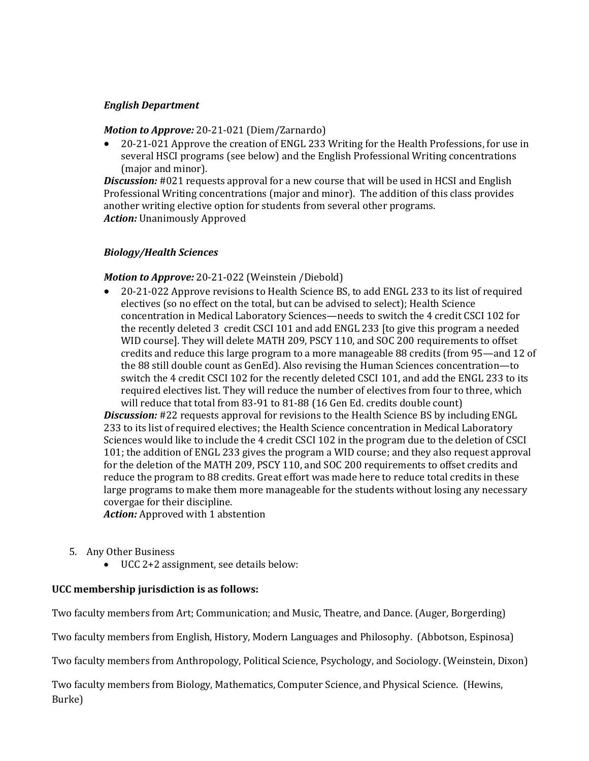### *English Department*

#### *Motion to Approve:* 20-21-021 (Diem/Zarnardo)

• 20-21-021 Approve the creation of ENGL 233 Writing for the Health Professions, for use in several HSCI programs (see below) and the English Professional Writing concentrations (major and minor).

**Discussion:** #021 requests approval for a new course that will be used in HCSI and English Professional Writing concentrations (major and minor). The addition of this class provides another writing elective option for students from several other programs. *Action:* Unanimously Approved

#### *Biology/Health Sciences*

#### *Motion to Approve:* 20-21-022 (Weinstein /Diebold)

• 20-21-022 Approve revisions to Health Science BS, to add ENGL 233 to its list of required electives (so no effect on the total, but can be advised to select); Health Science concentration in Medical Laboratory Sciences—needs to switch the 4 credit CSCI 102 for the recently deleted 3 credit CSCI 101 and add ENGL 233 [to give this program a needed WID course]. They will delete MATH 209, PSCY 110, and SOC 200 requirements to offset credits and reduce this large program to a more manageable 88 credits (from 95—and 12 of the 88 still double count as GenEd). Also revising the Human Sciences concentration—to switch the 4 credit CSCI 102 for the recently deleted CSCI 101, and add the ENGL 233 to its required electives list. They will reduce the number of electives from four to three, which will reduce that total from 83-91 to 81-88 (16 Gen Ed. credits double count)

*Discussion:* #22 requests approval for revisions to the Health Science BS by including ENGL 233 to its list of required electives; the Health Science concentration in Medical Laboratory Sciences would like to include the 4 credit CSCI 102 in the program due to the deletion of CSCI 101; the addition of ENGL 233 gives the program a WID course; and they also request approval for the deletion of the MATH 209, PSCY 110, and SOC 200 requirements to offset credits and reduce the program to 88 credits. Great effort was made here to reduce total credits in these large programs to make them more manageable for the students without losing any necessary covergae for their discipline.

*Action:* Approved with 1 abstention

- 5. Any Other Business
	- UCC 2+2 assignment, see details below:

## **UCC membership jurisdiction is as follows:**

Two faculty members from Art; Communication; and Music, Theatre, and Dance. (Auger, Borgerding)

Two faculty members from English, History, Modern Languages and Philosophy. (Abbotson, Espinosa)

Two faculty members from Anthropology, Political Science, Psychology, and Sociology. (Weinstein, Dixon)

Two faculty members from Biology, Mathematics, Computer Science, and Physical Science. (Hewins, Burke)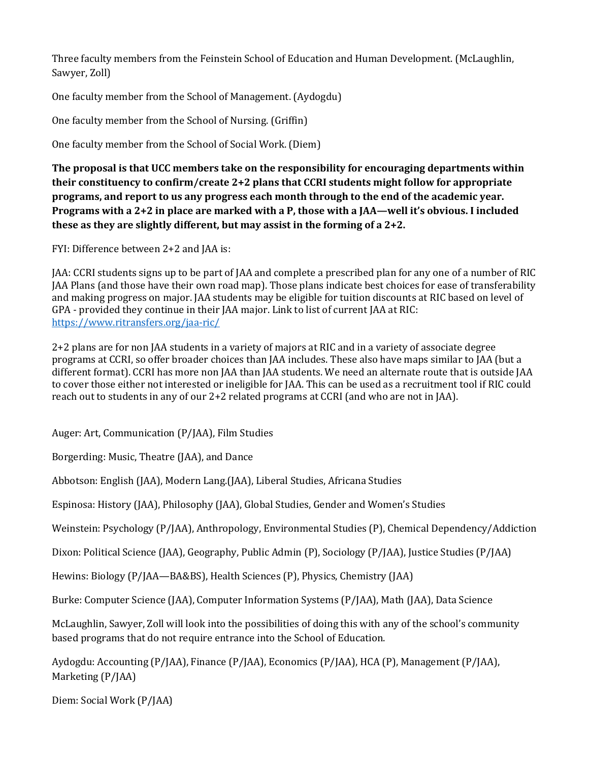Three faculty members from the Feinstein School of Education and Human Development. (McLaughlin, Sawyer, Zoll)

One faculty member from the School of Management. (Aydogdu)

One faculty member from the School of Nursing. (Griffin)

One faculty member from the School of Social Work. (Diem)

**The proposal is that UCC members take on the responsibility for encouraging departments within their constituency to confirm/create 2+2 plans that CCRI students might follow for appropriate programs, and report to us any progress each month through to the end of the academic year. Programs with a 2+2 in place are marked with a P, those with a JAA—well it's obvious. I included these as they are slightly different, but may assist in the forming of a 2+2.**

FYI: Difference between 2+2 and JAA is:

JAA: CCRI students signs up to be part of JAA and complete a prescribed plan for any one of a number of RIC JAA Plans (and those have their own road map). Those plans indicate best choices for ease of transferability and making progress on major. JAA students may be eligible for tuition discounts at RIC based on level of GPA - provided they continue in their JAA major. Link to list of current JAA at RIC: <https://www.ritransfers.org/jaa-ric/>

2+2 plans are for non JAA students in a variety of majors at RIC and in a variety of associate degree programs at CCRI, so offer broader choices than JAA includes. These also have maps similar to JAA (but a different format). CCRI has more non JAA than JAA students. We need an alternate route that is outside JAA to cover those either not interested or ineligible for JAA. This can be used as a recruitment tool if RIC could reach out to students in any of our 2+2 related programs at CCRI (and who are not in JAA).

Auger: Art, Communication (P/JAA), Film Studies

Borgerding: Music, Theatre (JAA), and Dance

Abbotson: English (JAA), Modern Lang.(JAA), Liberal Studies, Africana Studies

Espinosa: History (JAA), Philosophy (JAA), Global Studies, Gender and Women's Studies

Weinstein: Psychology (P/JAA), Anthropology, Environmental Studies (P), Chemical Dependency/Addiction

Dixon: Political Science (JAA), Geography, Public Admin (P), Sociology (P/JAA), Justice Studies (P/JAA)

Hewins: Biology (P/JAA—BA&BS), Health Sciences (P), Physics, Chemistry (JAA)

Burke: Computer Science (JAA), Computer Information Systems (P/JAA), Math (JAA), Data Science

McLaughlin, Sawyer, Zoll will look into the possibilities of doing this with any of the school's community based programs that do not require entrance into the School of Education.

Aydogdu: Accounting (P/JAA), Finance (P/JAA), Economics (P/JAA), HCA (P), Management (P/JAA), Marketing (P/JAA)

Diem: Social Work (P/JAA)